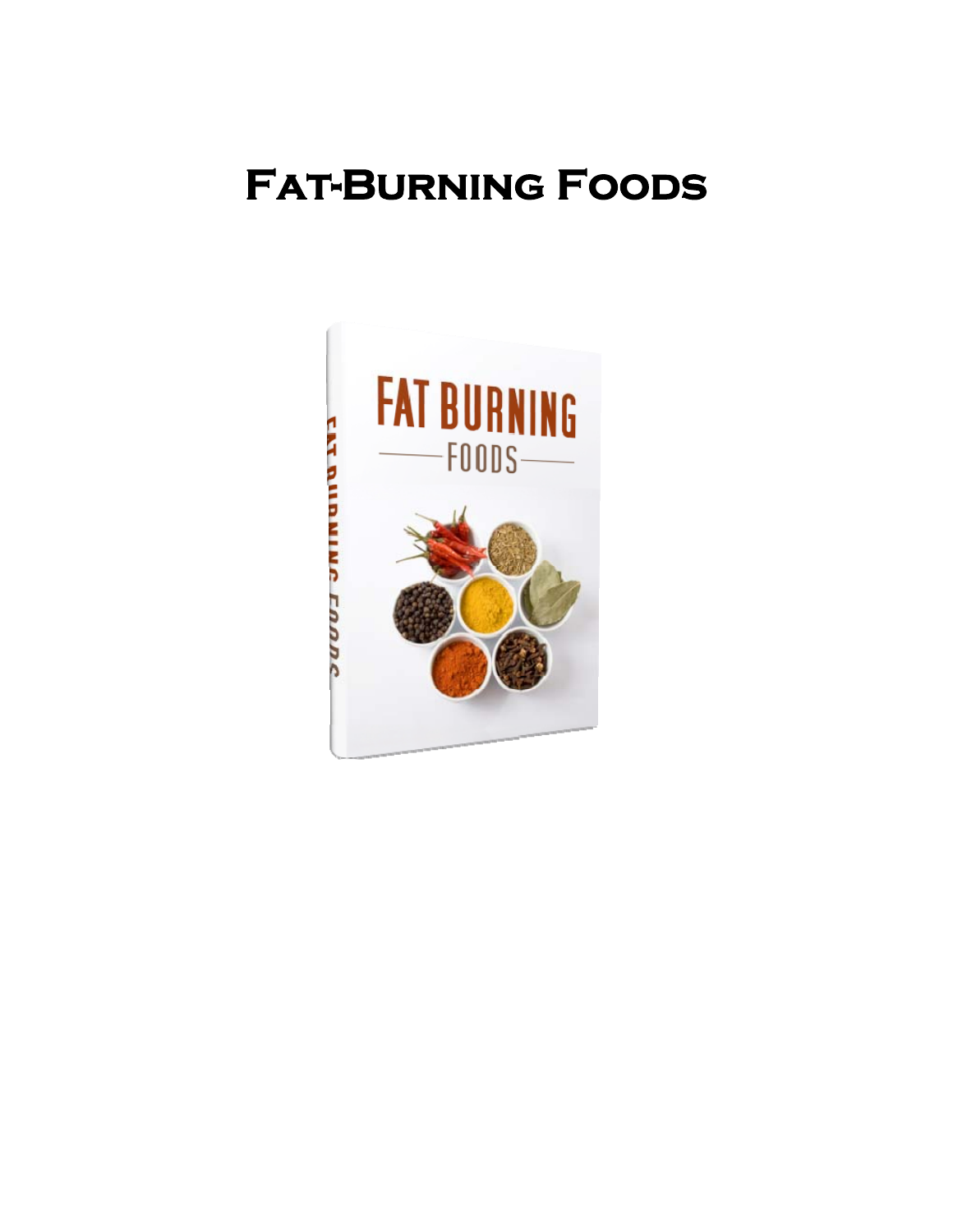# **Fat-Burning Foods**

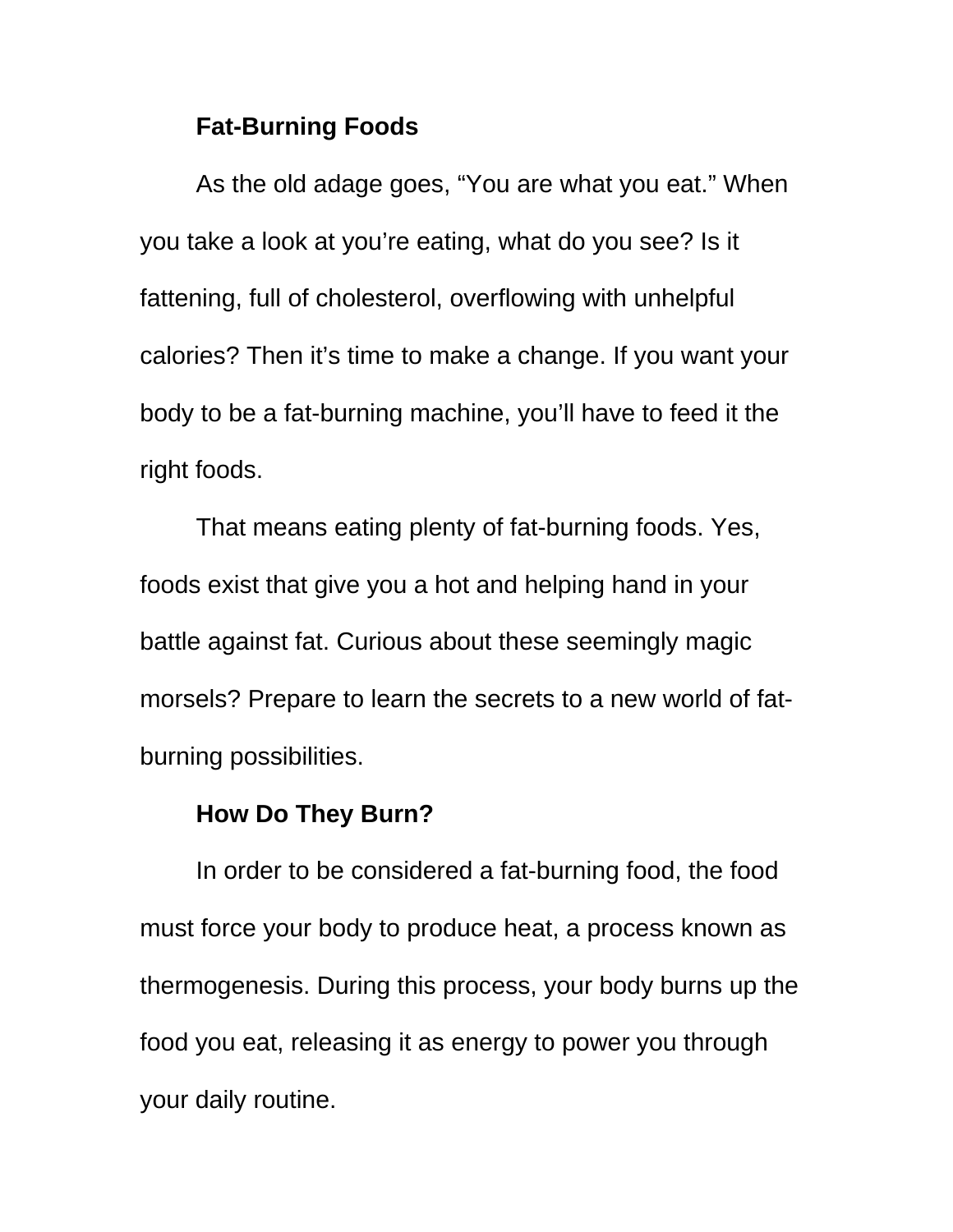# **Fat-Burning Foods**

As the old adage goes, "You are what you eat." When you take a look at you're eating, what do you see? Is it fattening, full of cholesterol, overflowing with unhelpful calories? Then it's time to make a change. If you want your body to be a fat-burning machine, you'll have to feed it the right foods.

That means eating plenty of fat-burning foods. Yes, foods exist that give you a hot and helping hand in your battle against fat. Curious about these seemingly magic morsels? Prepare to learn the secrets to a new world of fatburning possibilities.

# **How Do They Burn?**

In order to be considered a fat-burning food, the food must force your body to produce heat, a process known as thermogenesis. During this process, your body burns up the food you eat, releasing it as energy to power you through your daily routine.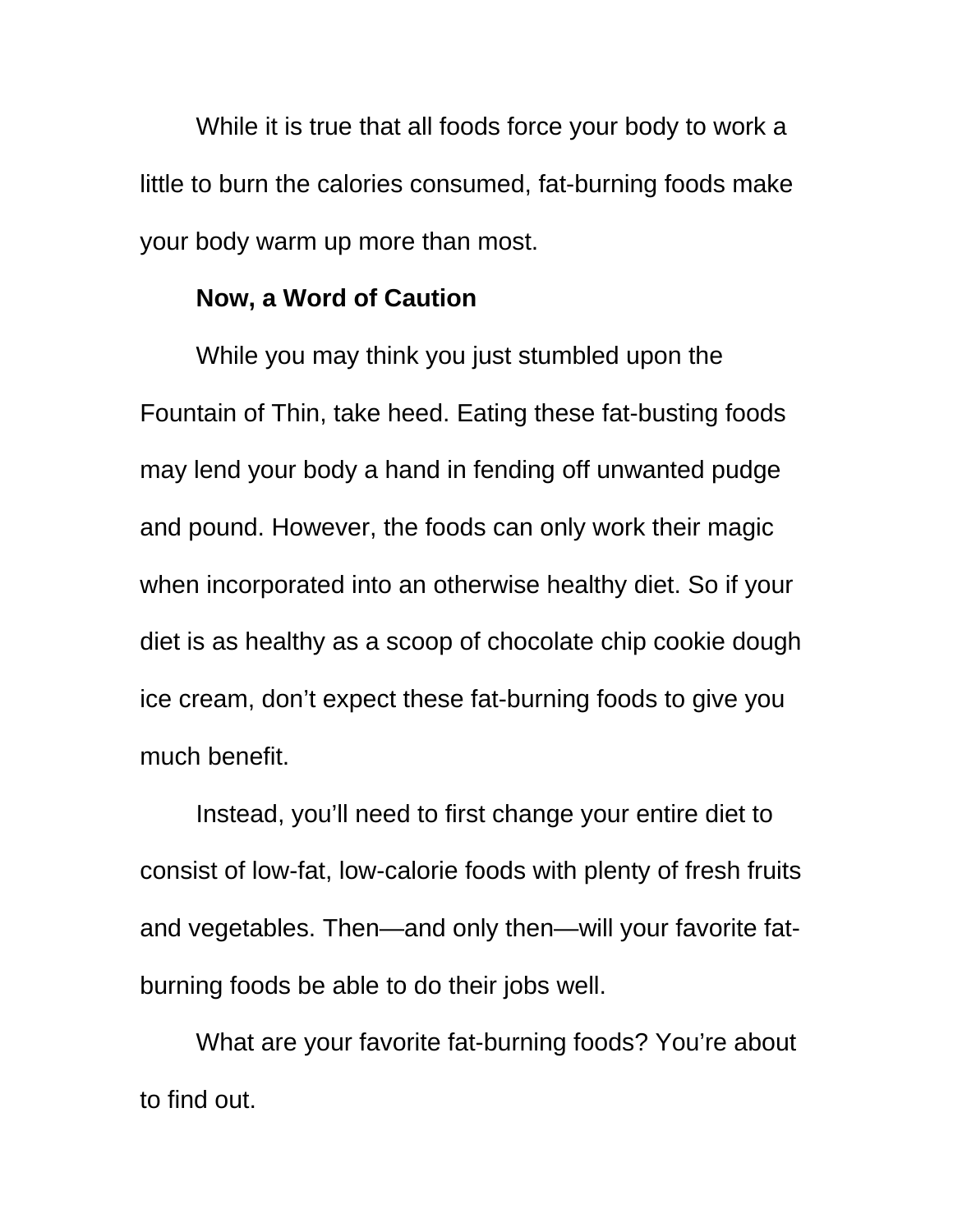While it is true that all foods force your body to work a little to burn the calories consumed, fat-burning foods make your body warm up more than most.

### **Now, a Word of Caution**

While you may think you just stumbled upon the Fountain of Thin, take heed. Eating these fat-busting foods may lend your body a hand in fending off unwanted pudge and pound. However, the foods can only work their magic when incorporated into an otherwise healthy diet. So if your diet is as healthy as a scoop of chocolate chip cookie dough ice cream, don't expect these fat-burning foods to give you much benefit.

Instead, you'll need to first change your entire diet to consist of low-fat, low-calorie foods with plenty of fresh fruits and vegetables. Then—and only then—will your favorite fatburning foods be able to do their jobs well.

What are your favorite fat-burning foods? You're about to find out.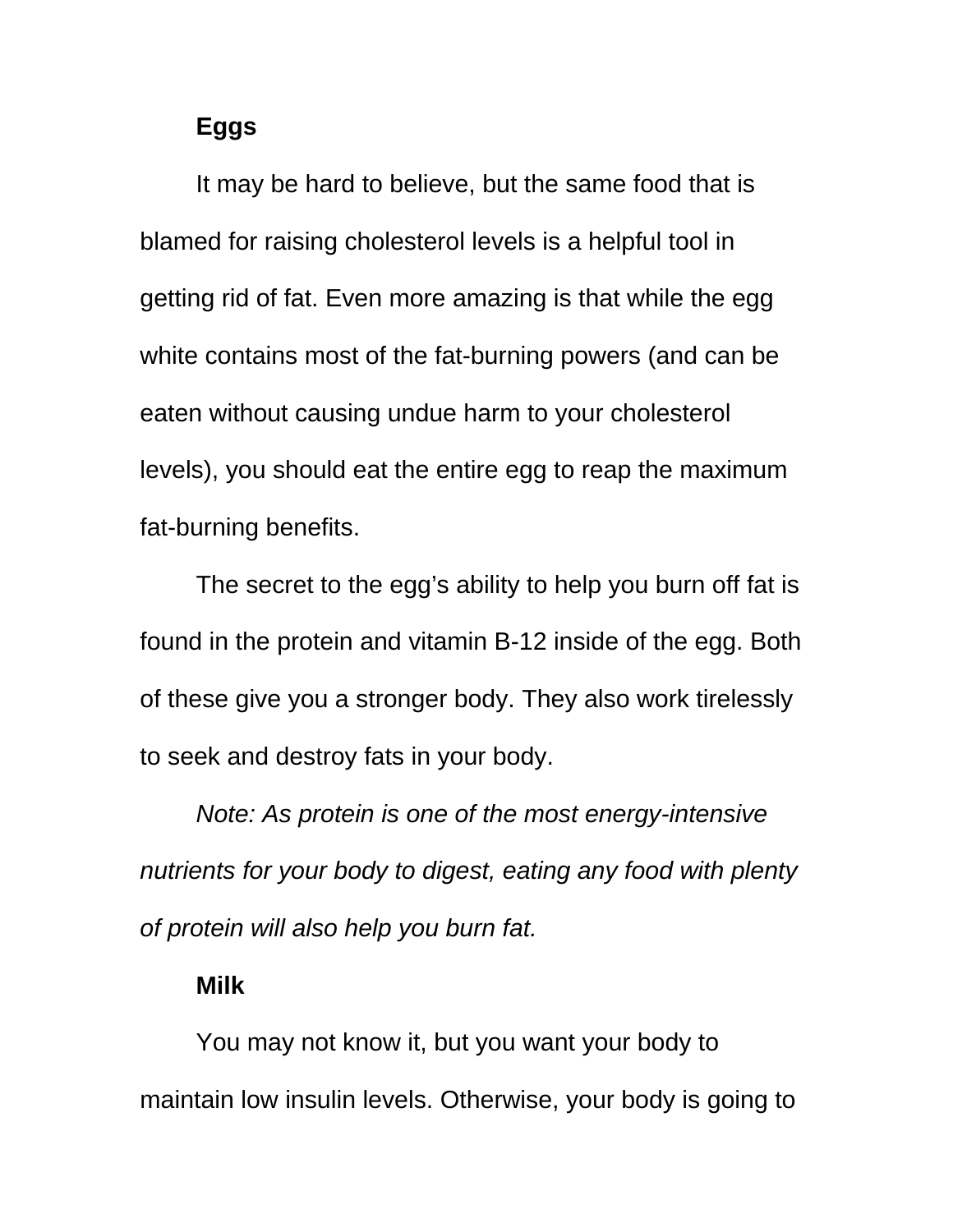# **Eggs**

It may be hard to believe, but the same food that is blamed for raising cholesterol levels is a helpful tool in getting rid of fat. Even more amazing is that while the egg white contains most of the fat-burning powers (and can be eaten without causing undue harm to your cholesterol levels), you should eat the entire egg to reap the maximum fat-burning benefits.

The secret to the egg's ability to help you burn off fat is found in the protein and vitamin B-12 inside of the egg. Both of these give you a stronger body. They also work tirelessly to seek and destroy fats in your body.

*Note: As protein is one of the most energy-intensive nutrients for your body to digest, eating any food with plenty of protein will also help you burn fat.* 

### **Milk**

You may not know it, but you want your body to maintain low insulin levels. Otherwise, your body is going to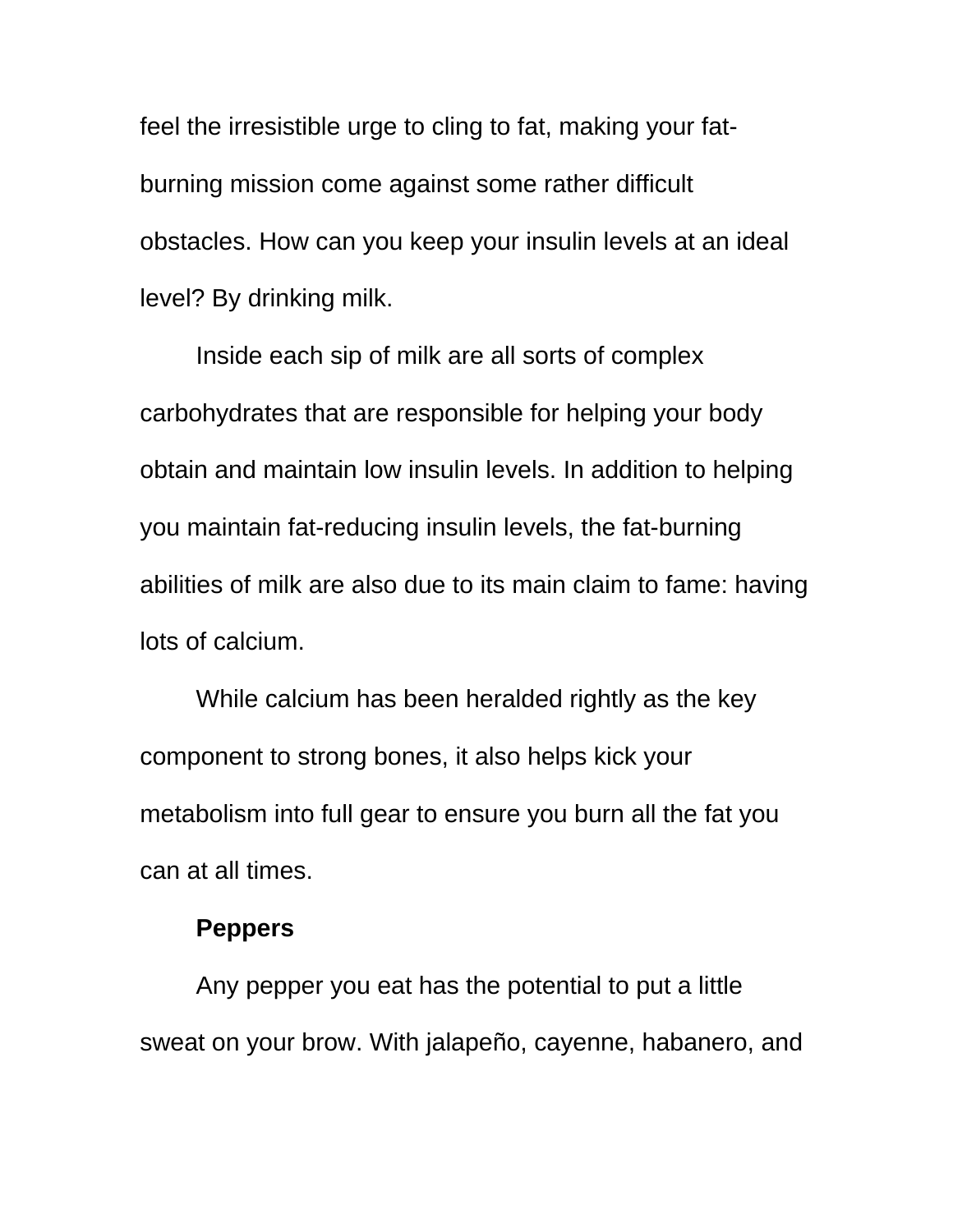feel the irresistible urge to cling to fat, making your fatburning mission come against some rather difficult obstacles. How can you keep your insulin levels at an ideal level? By drinking milk.

Inside each sip of milk are all sorts of complex carbohydrates that are responsible for helping your body obtain and maintain low insulin levels. In addition to helping you maintain fat-reducing insulin levels, the fat-burning abilities of milk are also due to its main claim to fame: having lots of calcium.

While calcium has been heralded rightly as the key component to strong bones, it also helps kick your metabolism into full gear to ensure you burn all the fat you can at all times.

## **Peppers**

Any pepper you eat has the potential to put a little sweat on your brow. With jalapeño, cayenne, habanero, and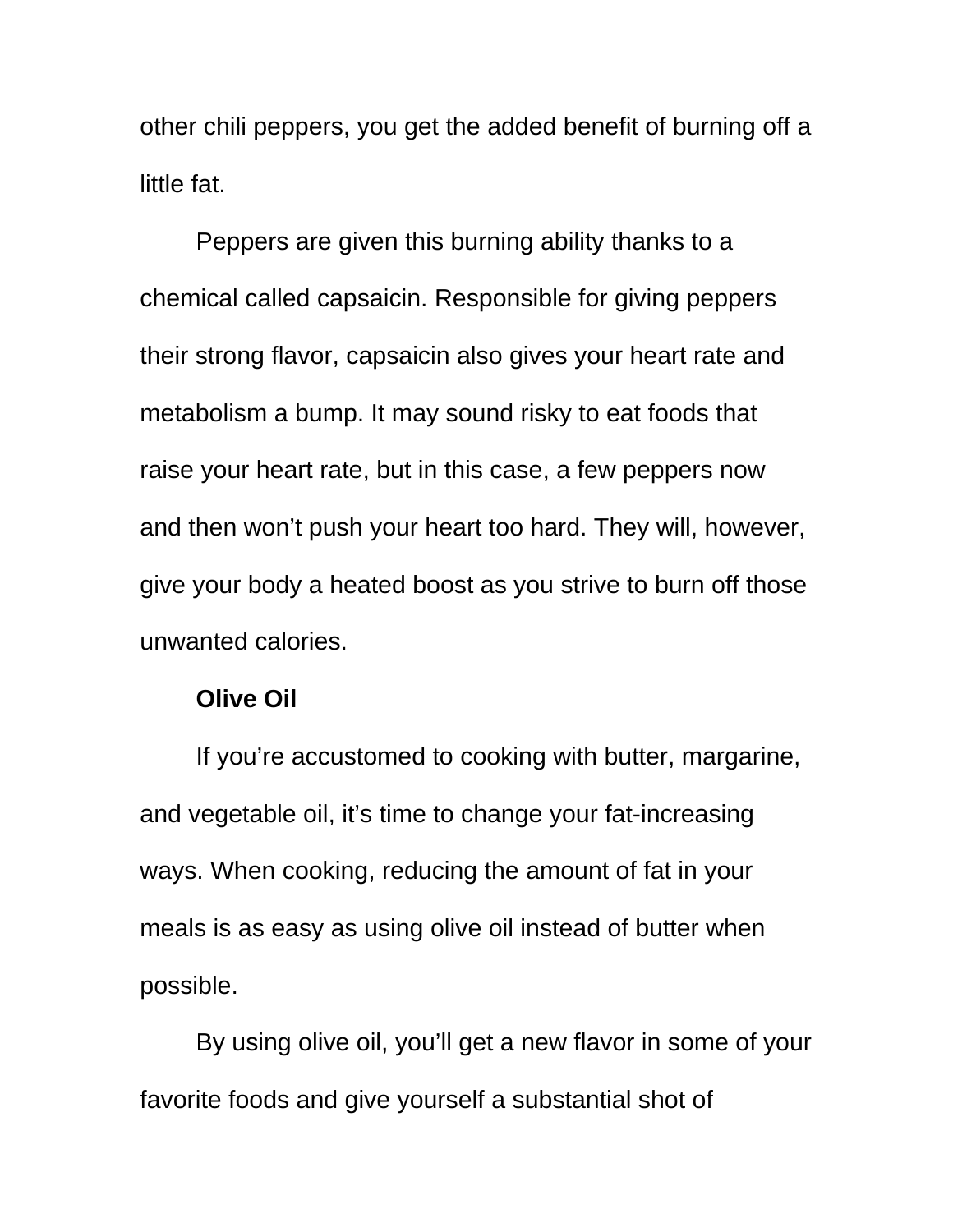other chili peppers, you get the added benefit of burning off a little fat.

Peppers are given this burning ability thanks to a chemical called capsaicin. Responsible for giving peppers their strong flavor, capsaicin also gives your heart rate and metabolism a bump. It may sound risky to eat foods that raise your heart rate, but in this case, a few peppers now and then won't push your heart too hard. They will, however, give your body a heated boost as you strive to burn off those unwanted calories.

### **Olive Oil**

If you're accustomed to cooking with butter, margarine, and vegetable oil, it's time to change your fat-increasing ways. When cooking, reducing the amount of fat in your meals is as easy as using olive oil instead of butter when possible.

By using olive oil, you'll get a new flavor in some of your favorite foods and give yourself a substantial shot of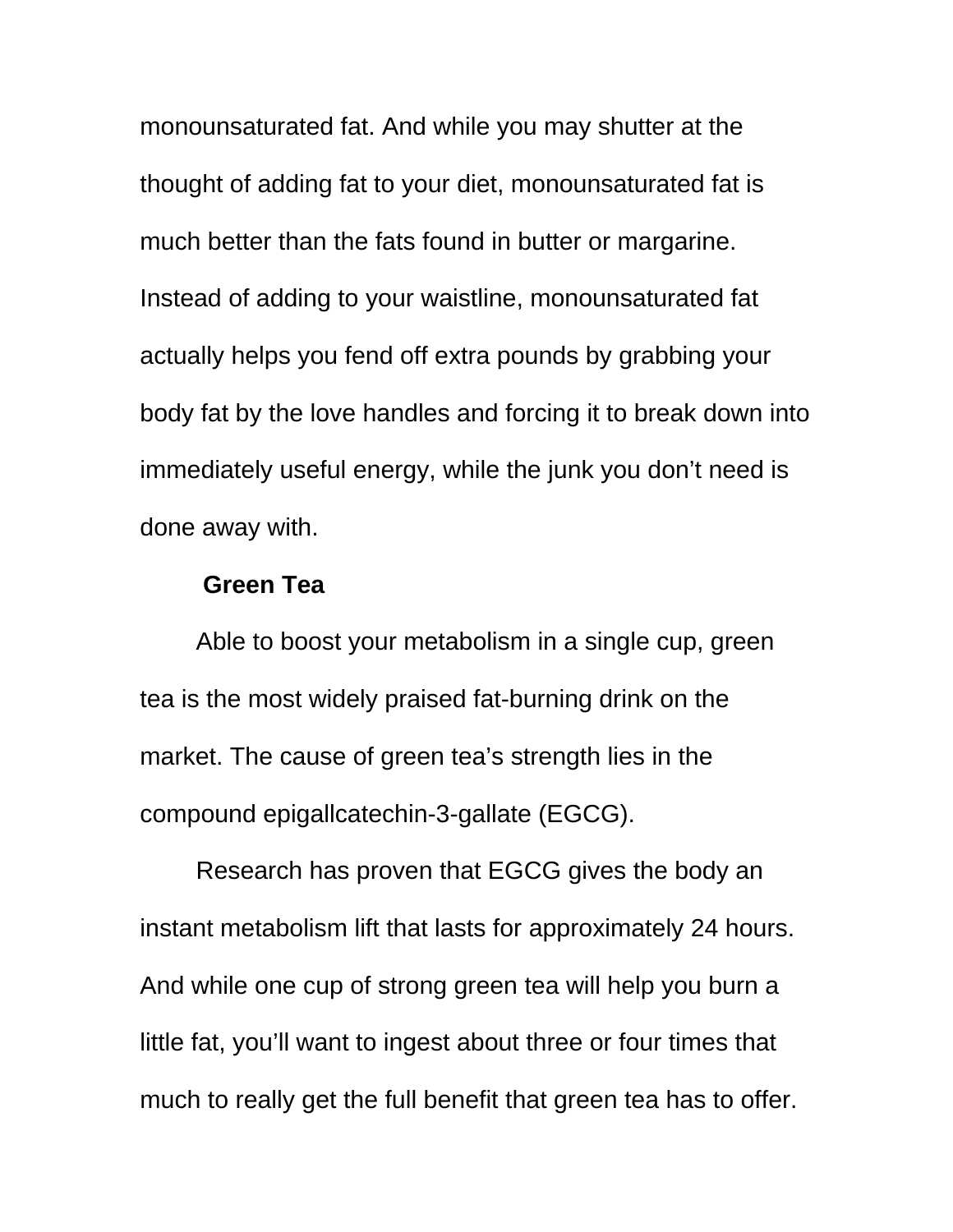monounsaturated fat. And while you may shutter at the thought of adding fat to your diet, monounsaturated fat is much better than the fats found in butter or margarine. Instead of adding to your waistline, monounsaturated fat actually helps you fend off extra pounds by grabbing your body fat by the love handles and forcing it to break down into immediately useful energy, while the junk you don't need is done away with.

# **Green Tea**

Able to boost your metabolism in a single cup, green tea is the most widely praised fat-burning drink on the market. The cause of green tea's strength lies in the compound epigallcatechin-3-gallate (EGCG).

Research has proven that EGCG gives the body an instant metabolism lift that lasts for approximately 24 hours. And while one cup of strong green tea will help you burn a little fat, you'll want to ingest about three or four times that much to really get the full benefit that green tea has to offer.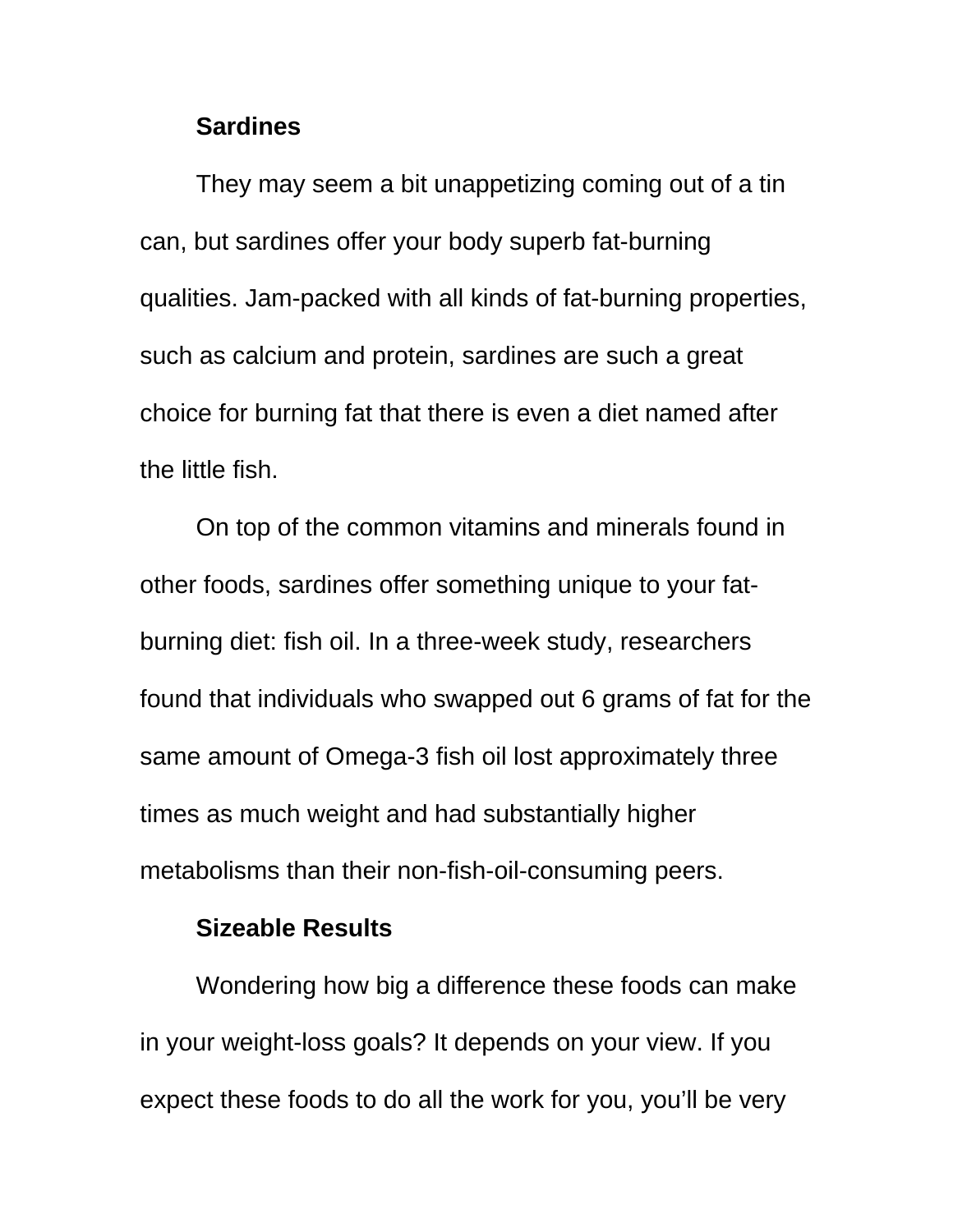## **Sardines**

They may seem a bit unappetizing coming out of a tin can, but sardines offer your body superb fat-burning qualities. Jam-packed with all kinds of fat-burning properties, such as calcium and protein, sardines are such a great choice for burning fat that there is even a diet named after the little fish.

On top of the common vitamins and minerals found in other foods, sardines offer something unique to your fatburning diet: fish oil. In a three-week study, researchers found that individuals who swapped out 6 grams of fat for the same amount of Omega-3 fish oil lost approximately three times as much weight and had substantially higher metabolisms than their non-fish-oil-consuming peers.

# **Sizeable Results**

Wondering how big a difference these foods can make in your weight-loss goals? It depends on your view. If you expect these foods to do all the work for you, you'll be very